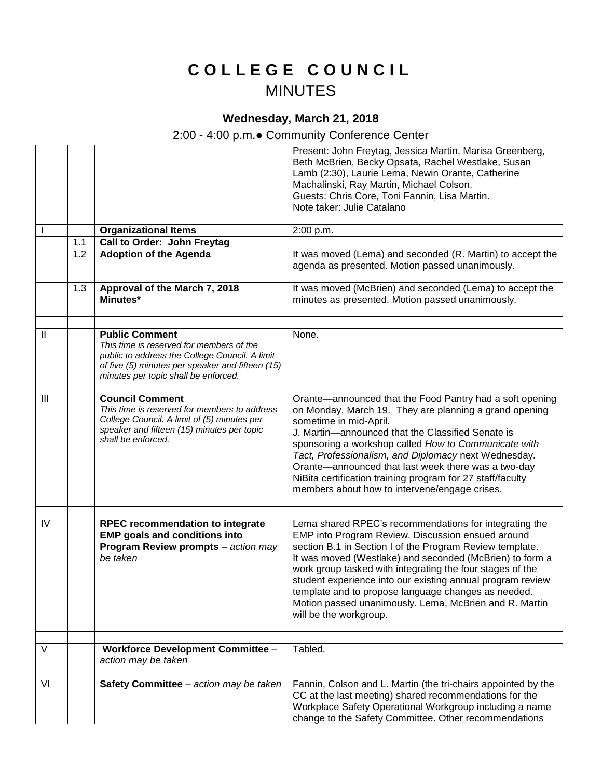## **C O L L E G E C O U N C I L** MINUTES

## **Wednesday, March 21, 2018**

## 2:00 - 4:00 p.m.● Community Conference Center

|              |     |                                                                                                                                                                                                                 | Present: John Freytag, Jessica Martin, Marisa Greenberg,<br>Beth McBrien, Becky Opsata, Rachel Westlake, Susan<br>Lamb (2:30), Laurie Lema, Newin Orante, Catherine<br>Machalinski, Ray Martin, Michael Colson.<br>Guests: Chris Core, Toni Fannin, Lisa Martin.                                                                                                                                                                                                                                          |
|--------------|-----|-----------------------------------------------------------------------------------------------------------------------------------------------------------------------------------------------------------------|-----------------------------------------------------------------------------------------------------------------------------------------------------------------------------------------------------------------------------------------------------------------------------------------------------------------------------------------------------------------------------------------------------------------------------------------------------------------------------------------------------------|
|              |     |                                                                                                                                                                                                                 | Note taker: Julie Catalano                                                                                                                                                                                                                                                                                                                                                                                                                                                                                |
|              |     | <b>Organizational Items</b>                                                                                                                                                                                     | 2:00 p.m.                                                                                                                                                                                                                                                                                                                                                                                                                                                                                                 |
|              | 1.1 | Call to Order: John Freytag                                                                                                                                                                                     |                                                                                                                                                                                                                                                                                                                                                                                                                                                                                                           |
|              | 1.2 | <b>Adoption of the Agenda</b>                                                                                                                                                                                   | It was moved (Lema) and seconded (R. Martin) to accept the<br>agenda as presented. Motion passed unanimously.                                                                                                                                                                                                                                                                                                                                                                                             |
|              | 1.3 | Approval of the March 7, 2018<br>Minutes*                                                                                                                                                                       | It was moved (McBrien) and seconded (Lema) to accept the<br>minutes as presented. Motion passed unanimously.                                                                                                                                                                                                                                                                                                                                                                                              |
|              |     |                                                                                                                                                                                                                 |                                                                                                                                                                                                                                                                                                                                                                                                                                                                                                           |
| $\mathbf{I}$ |     | <b>Public Comment</b><br>This time is reserved for members of the<br>public to address the College Council. A limit<br>of five (5) minutes per speaker and fifteen (15)<br>minutes per topic shall be enforced. | None.                                                                                                                                                                                                                                                                                                                                                                                                                                                                                                     |
| III          |     | <b>Council Comment</b><br>This time is reserved for members to address<br>College Council. A limit of (5) minutes per<br>speaker and fifteen (15) minutes per topic<br>shall be enforced.                       | Orante—announced that the Food Pantry had a soft opening<br>on Monday, March 19. They are planning a grand opening<br>sometime in mid-April.<br>J. Martin-announced that the Classified Senate is<br>sponsoring a workshop called How to Communicate with<br>Tact, Professionalism, and Diplomacy next Wednesday.<br>Orante-announced that last week there was a two-day<br>NiBita certification training program for 27 staff/faculty<br>members about how to intervene/engage crises.                   |
| IV           |     | <b>RPEC recommendation to integrate</b><br><b>EMP goals and conditions into</b><br>Program Review prompts - action may<br>be taken                                                                              | Lema shared RPEC's recommendations for integrating the<br>EMP into Program Review. Discussion ensued around<br>section B.1 in Section I of the Program Review template.<br>It was moved (Westlake) and seconded (McBrien) to form a<br>work group tasked with integrating the four stages of the<br>student experience into our existing annual program review<br>template and to propose language changes as needed.<br>Motion passed unanimously. Lema, McBrien and R. Martin<br>will be the workgroup. |
| V            |     | <b>Workforce Development Committee -</b>                                                                                                                                                                        | Tabled.                                                                                                                                                                                                                                                                                                                                                                                                                                                                                                   |
|              |     | action may be taken                                                                                                                                                                                             |                                                                                                                                                                                                                                                                                                                                                                                                                                                                                                           |
| VI           |     | Safety Committee - action may be taken                                                                                                                                                                          | Fannin, Colson and L. Martin (the tri-chairs appointed by the<br>CC at the last meeting) shared recommendations for the<br>Workplace Safety Operational Workgroup including a name<br>change to the Safety Committee. Other recommendations                                                                                                                                                                                                                                                               |